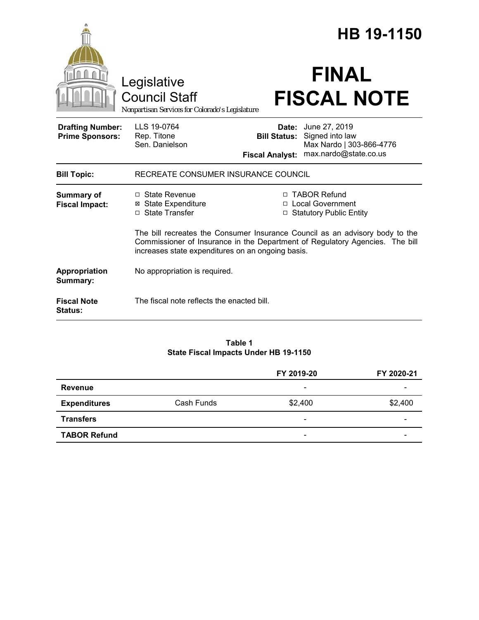|                                                   |                                                                                                                                                                                                                   |                                               | HB 19-1150                                                                                         |
|---------------------------------------------------|-------------------------------------------------------------------------------------------------------------------------------------------------------------------------------------------------------------------|-----------------------------------------------|----------------------------------------------------------------------------------------------------|
|                                                   | Legislative<br>Council Staff<br>Nonpartisan Services for Colorado's Legislature                                                                                                                                   |                                               | <b>FINAL</b><br><b>FISCAL NOTE</b>                                                                 |
| <b>Drafting Number:</b><br><b>Prime Sponsors:</b> | LLS 19-0764<br>Rep. Titone<br>Sen. Danielson                                                                                                                                                                      | <b>Bill Status:</b><br><b>Fiscal Analyst:</b> | <b>Date:</b> June 27, 2019<br>Signed into law<br>Max Nardo   303-866-4776<br>max.nardo@state.co.us |
| <b>Bill Topic:</b>                                | RECREATE CONSUMER INSURANCE COUNCIL                                                                                                                                                                               |                                               |                                                                                                    |
| <b>Summary of</b><br><b>Fiscal Impact:</b>        | □ State Revenue<br><b>⊠</b> State Expenditure<br>□ State Transfer                                                                                                                                                 | □                                             | □ TABOR Refund<br>□ Local Government<br><b>Statutory Public Entity</b>                             |
|                                                   | The bill recreates the Consumer Insurance Council as an advisory body to the<br>Commissioner of Insurance in the Department of Regulatory Agencies. The bill<br>increases state expenditures on an ongoing basis. |                                               |                                                                                                    |
| Appropriation<br>Summary:                         | No appropriation is required.                                                                                                                                                                                     |                                               |                                                                                                    |
| <b>Fiscal Note</b><br><b>Status:</b>              | The fiscal note reflects the enacted bill.                                                                                                                                                                        |                                               |                                                                                                    |

#### **Table 1 State Fiscal Impacts Under HB 19-1150**

|                     |            | FY 2019-20                   | FY 2020-21 |
|---------------------|------------|------------------------------|------------|
| <b>Revenue</b>      |            | $\overline{\phantom{a}}$     |            |
| <b>Expenditures</b> | Cash Funds | \$2,400                      | \$2,400    |
| <b>Transfers</b>    |            | $\overline{\phantom{a}}$     |            |
| <b>TABOR Refund</b> |            | $\qquad \qquad \blacksquare$ |            |